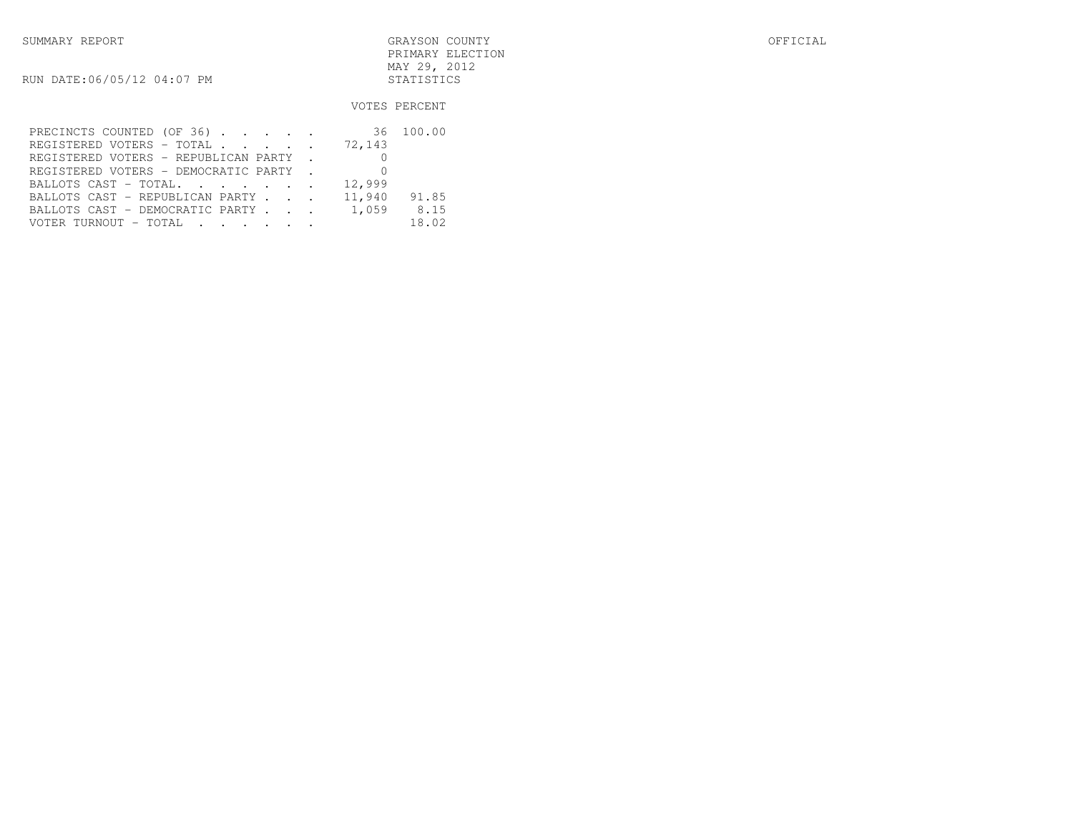| SUMMARY REPORT             | GRAYSON COUNTY   | OFFICIAL |
|----------------------------|------------------|----------|
|                            | PRIMARY ELECTION |          |
|                            | MAY 29, 2012     |          |
| RUN DATE:06/05/12 04:07 PM | STATISTICS       |          |

## VOTES PERCENT

| PRECINCTS COUNTED (OF 36) 36 100.00          |        |       |
|----------------------------------------------|--------|-------|
| REGISTERED VOTERS - TOTAL 72,143             |        |       |
| REGISTERED VOTERS - REPUBLICAN PARTY .       |        |       |
| REGISTERED VOTERS - DEMOCRATIC PARTY . 0     |        |       |
| BALLOTS CAST - TOTAL.                        | 12,999 |       |
| BALLOTS CAST - REPUBLICAN PARTY 11,940 91.85 |        |       |
| BALLOTS CAST - DEMOCRATIC PARTY 1,059        |        | 8.15  |
| VOTER TURNOUT - TOTAL                        |        | 18.02 |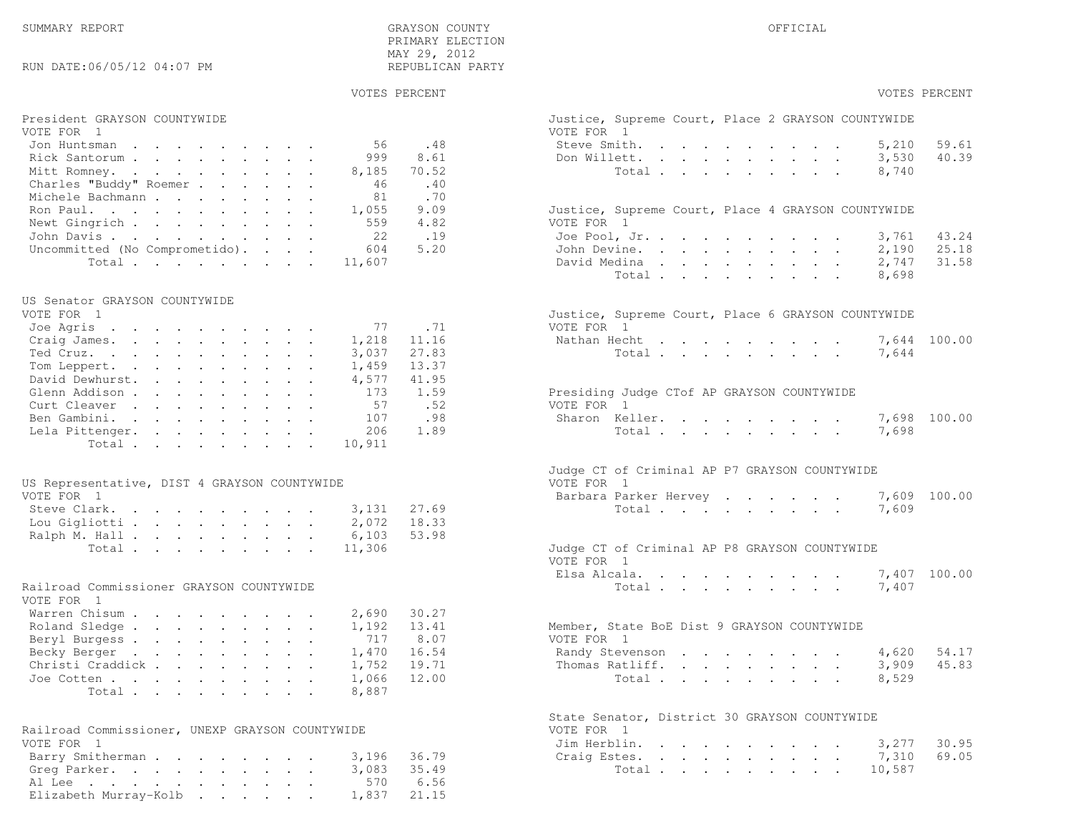# SUMMARY REPORT GRAYSON COUNTY OFFICIAL PRIMARY ELECTIONMAY 29, 2012<br>"פני המידים במוסדים במוסד המידים במוסד המידים במוסד המידים במוסד המידים במוסד המידים במוסד המידים במוסד המידים

# RUN DATE:06/05/12 04:07 PM

# VOTES PERCENT VOTES PERCENT

| President GRAYSON COUNTYWIDE          |       | Justice, Supreme Court, Place 2 GRAYSON COUNTYWIDE |       |       |
|---------------------------------------|-------|----------------------------------------------------|-------|-------|
| VOTE FOR 1                            |       | VOTE FOR 1                                         |       |       |
| Jon Huntsman<br>56.                   | .48   | Steve Smith.                                       | 5,210 | 59.61 |
| Rick Santorum<br>999                  | 8.61  | Don Willett.                                       | 3,530 | 40.39 |
| Mitt Romney.<br>8,185                 | 70.52 | Total                                              | 8,740 |       |
| Charles "Buddy" Roemer<br>46          | .40   |                                                    |       |       |
| Michele Bachmann<br>81                | .70   |                                                    |       |       |
| 1,055<br>Ron Paul.                    | 9.09  | Justice, Supreme Court, Place 4 GRAYSON COUNTYWIDE |       |       |
| 559<br>Newt Gingrich                  | 4.82  | VOTE FOR 1                                         |       |       |
| 22<br>John Davis.                     | .19   | Joe Pool, Jr.                                      | 3,761 | 43.24 |
| Uncommitted (No Comprometido).<br>604 | 5.20  | John Devine.                                       | 2,190 | 25.18 |
| Total 11,607                          |       | David Medina                                       | 2,747 | 31.58 |

### US Senator GRAYSON COUNTYWIDE

| VOTE FOR T                        | Justice, Supreme Court, Place 6 GRAYSON COUNTYWIDE |
|-----------------------------------|----------------------------------------------------|
| Joe Agris 77 .71                  | VOTE FOR 1                                         |
| Craig James. 1,218 11.16          | Nathan Hecht 7,644 100.00                          |
| 3,037 27.83<br>Ted Cruz.          | Total 7,644                                        |
| 13.37<br>1,459<br>Tom Leppert.    |                                                    |
| David Dewhurst.<br>4,577<br>41.95 |                                                    |
| 173<br>1.59<br>Glenn Addison      | Presiding Judge CTof AP GRAYSON COUNTYWIDE         |
| Curt Cleaver<br>57.52             | VOTE FOR 1                                         |
| Ben Gambini.<br>107<br>.98        | Sharon Keller. 7,698 100.00                        |
| 206<br>1.89<br>Lela Pittenger.    | 7,698<br>Total                                     |
| Total 10,911                      |                                                    |

### US Representative, DIST 4 GRAYSON COUNTYWIDE FOR 1999 TO THE REPORT FOR 1999 TO THE REPORT FOR 1999 TO THE REPORT FOR 1999 TO THE REPORT OF THE REPORT OF THE REPORT OF THE REPORT OF THE REPORT OF THE REPORT OF THE REPORT O

| VOTE FOR 1                | Barbara Parker Hervey 7,609 100.00            |
|---------------------------|-----------------------------------------------|
| Steve Clark. 3,131 27.69  | Total 7,609                                   |
| Lou Gigliotti 2,072 18.33 |                                               |
| Ralph M. Hall 6,103 53.98 |                                               |
| Total 11,306              | Judge CT of Criminal AP P8 GRAYSON COUNTYWIDE |

# Railroad Commissioner GRAYSON COUNTYWIDE<br>VOTE FOR . 1

| Warren Chisum 2,690 30.27                                                |       |
|--------------------------------------------------------------------------|-------|
|                                                                          |       |
| Member, State BoE Dist 9 GRAYSON COUNTYWIDE<br>Roland Sledge 1,192 13.41 |       |
| Beryl Burgess 717 8.07<br>VOTE FOR 1                                     |       |
| Randy Stevenson 4,620 54.17<br>Becky Berger 1,470 16.54                  |       |
| Thomas Ratliff. 3,909<br>Christi Craddick 1,752 19.71                    | 45.83 |
| Total 8,529<br>Joe Cotten 1,066 12.00                                    |       |
| Total 8,887                                                              |       |

| Railroad Commissioner, UNEXP GRAYSON COUNTYWIDE |  |  |  |  | VOTE FOR 1         |  |
|-------------------------------------------------|--|--|--|--|--------------------|--|
| VOTE FOR 1                                      |  |  |  |  | Jim Herblin. 3,277 |  |
| Barry Smitherman 3,196 36.79                    |  |  |  |  | Craig Estes. 7,310 |  |
| Greg Parker. 3,083 35.49                        |  |  |  |  | Total 10,587       |  |
| Al Lee 570 6.56                                 |  |  |  |  |                    |  |
| Elizabeth Murray-Kolb $1,837$ 21.15             |  |  |  |  |                    |  |

| President GRAYSON COUNTYWIDE<br>VOTE FOR 1             |       | Justice, Supreme Court, Place 2 GRAYSON COUNTYWIDE<br>VOTE FOR 1                                                                                                                                                                                                  |
|--------------------------------------------------------|-------|-------------------------------------------------------------------------------------------------------------------------------------------------------------------------------------------------------------------------------------------------------------------|
| 56<br>Jon Huntsman                                     | .48   | 59.61<br>Steve Smith.<br>5,210<br>the contract of the contract of the contract of                                                                                                                                                                                 |
| 999<br>Rick Santorum                                   | 8.61  | 40.39<br>3,530<br>Don Willett.                                                                                                                                                                                                                                    |
| Mitt Romney.<br>8,185                                  | 70.52 | 8,740<br>Total                                                                                                                                                                                                                                                    |
| Charles "Buddy" Roemer<br>46                           | .40   |                                                                                                                                                                                                                                                                   |
| Michele Bachmann<br>81                                 | .70   |                                                                                                                                                                                                                                                                   |
| Ron Paul.<br>1,055                                     | 9.09  | Justice, Supreme Court, Place 4 GRAYSON COUNTYWIDE                                                                                                                                                                                                                |
| Newt Gingrich<br>559                                   | 4.82  | VOTE FOR 1                                                                                                                                                                                                                                                        |
| 22<br>John Davis                                       | .19   | 43.24<br>Joe Pool, Jr.<br>3,761                                                                                                                                                                                                                                   |
| Uncommitted (No Comprometido).<br>604                  | 5.20  | 25.18<br>John Devine.<br>2,190                                                                                                                                                                                                                                    |
| Total<br>11,607                                        |       | 31.58<br>David Medina<br>2,747                                                                                                                                                                                                                                    |
|                                                        |       | Total<br>8,698                                                                                                                                                                                                                                                    |
|                                                        |       |                                                                                                                                                                                                                                                                   |
| US Senator GRAYSON COUNTYWIDE<br>VOTE FOR 1            |       | Justice, Supreme Court, Place 6 GRAYSON COUNTYWIDE                                                                                                                                                                                                                |
| Joe Agris<br>77                                        | .71   | VOTE FOR 1                                                                                                                                                                                                                                                        |
| Craig James.<br>1,218                                  | 11.16 | Nathan Hecht<br>$\mathbf{r}$ . The contract of the contract of the contract of the contract of the contract of the contract of the contract of the contract of the contract of the contract of the contract of the contract of the contract of th<br>7,644 100.00 |
| Ted Cruz.<br>3,037                                     | 27.83 | 7,644<br>Total                                                                                                                                                                                                                                                    |
| Tom Leppert.<br>1,459                                  | 13.37 |                                                                                                                                                                                                                                                                   |
| David Dewhurst.<br>4,577                               | 41.95 |                                                                                                                                                                                                                                                                   |
| Glenn Addison<br>173                                   | 1.59  | Presiding Judge CTof AP GRAYSON COUNTYWIDE                                                                                                                                                                                                                        |
| Curt Cleaver<br>57                                     | .52   | VOTE FOR 1                                                                                                                                                                                                                                                        |
| Ben Gambini.<br>107                                    | .98   | 7,698 100.00<br>Sharon Keller.                                                                                                                                                                                                                                    |
|                                                        | 1.89  |                                                                                                                                                                                                                                                                   |
| Lela Pittenger.<br>206<br>10,911<br>Total              |       | Total<br>7,698                                                                                                                                                                                                                                                    |
|                                                        |       |                                                                                                                                                                                                                                                                   |
| US Representative, DIST 4 GRAYSON COUNTYWIDE           |       | Judge CT of Criminal AP P7 GRAYSON COUNTYWIDE<br>VOTE FOR 1                                                                                                                                                                                                       |
| VOTE FOR 1                                             |       | 100.00<br>Barbara Parker Hervey<br>7,609                                                                                                                                                                                                                          |
| Steve Clark.<br>3,131                                  | 27.69 | Total<br>7,609                                                                                                                                                                                                                                                    |
| Lou Gigliotti<br>2,072                                 | 18.33 |                                                                                                                                                                                                                                                                   |
| Ralph M. Hall<br>6,103                                 | 53.98 |                                                                                                                                                                                                                                                                   |
| Total<br>11,306                                        |       | Judge CT of Criminal AP P8 GRAYSON COUNTYWIDE<br>VOTE FOR 1                                                                                                                                                                                                       |
|                                                        |       | 7,407 100.00<br>Elsa Alcala.                                                                                                                                                                                                                                      |
| Railroad Commissioner GRAYSON COUNTYWIDE<br>VOTE FOR 1 |       | 7,407<br>Total                                                                                                                                                                                                                                                    |
| Warren Chisum<br>2,690                                 | 30.27 |                                                                                                                                                                                                                                                                   |
| Roland Sledge<br>1,192                                 | 13.41 | Member, State BoE Dist 9 GRAYSON COUNTYWIDE                                                                                                                                                                                                                       |
| Beryl Burgess<br>717                                   | 8.07  | VOTE FOR 1                                                                                                                                                                                                                                                        |
| Becky Berger<br>1,470                                  | 16.54 | 54.17<br>Randy Stevenson<br>4,620                                                                                                                                                                                                                                 |
| Christi Craddick<br>1,752                              | 19.71 | 45.83<br>Thomas Ratliff.<br>3,909                                                                                                                                                                                                                                 |
| Joe Cotten<br>1,066                                    | 12.00 | 8,529<br>Total                                                                                                                                                                                                                                                    |
| 8,887<br>Total                                         |       |                                                                                                                                                                                                                                                                   |
| Railroad Commissioner, UNEXP GRAYSON COUNTYWIDE        |       | State Senator, District 30 GRAYSON COUNTYWIDE<br>VOTE FOR 1                                                                                                                                                                                                       |

| RA11road Commissioner, UNEXP GRAYSON COUNIYWIDE | VUIE FURTI               |
|-------------------------------------------------|--------------------------|
| VOTE FOR 1                                      | Jim Herblin. 3,277 30.95 |
| Barry Smitherman 3,196 36.79                    | Craig Estes. 7,310 69.05 |
| Greg Parker. 3,083 35.49                        | Total 10,587             |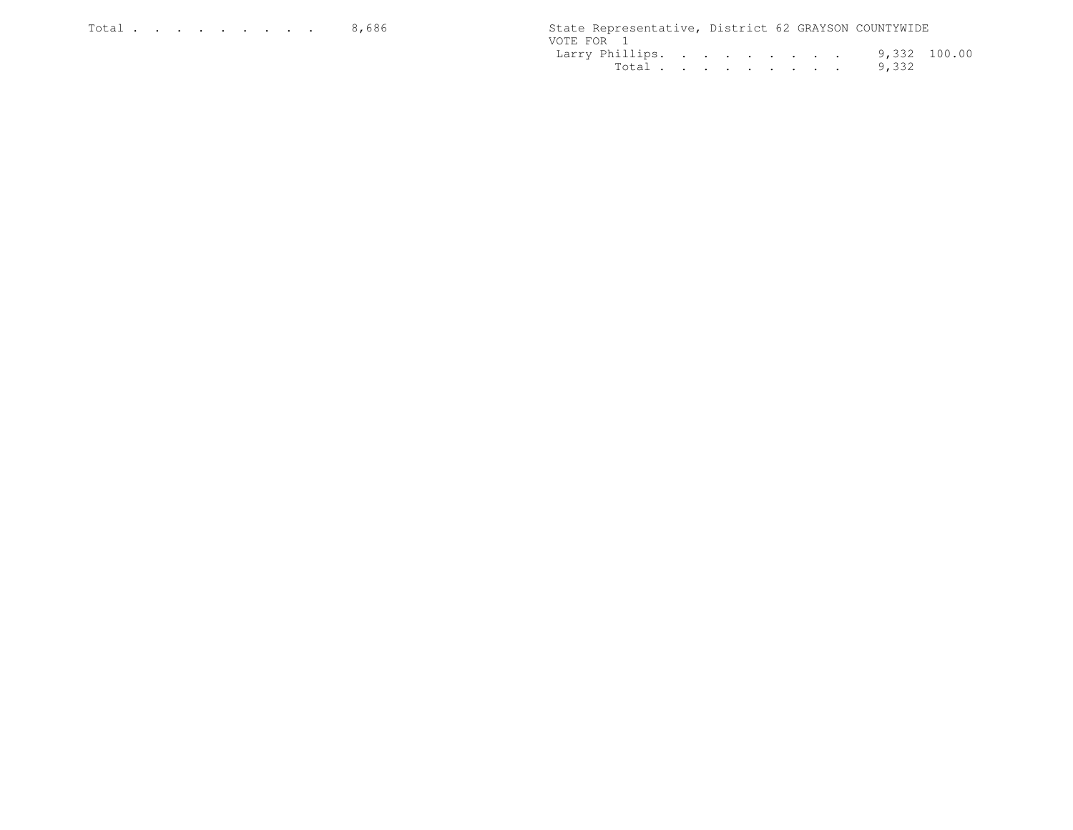|            |  |  |  |  | State Representative, District 62 GRAYSON COUNTYWIDE |  |
|------------|--|--|--|--|------------------------------------------------------|--|
| VOTE FOR 1 |  |  |  |  |                                                      |  |
|            |  |  |  |  | Larry Phillips. 9,332 100.00                         |  |
|            |  |  |  |  | Total 9,332                                          |  |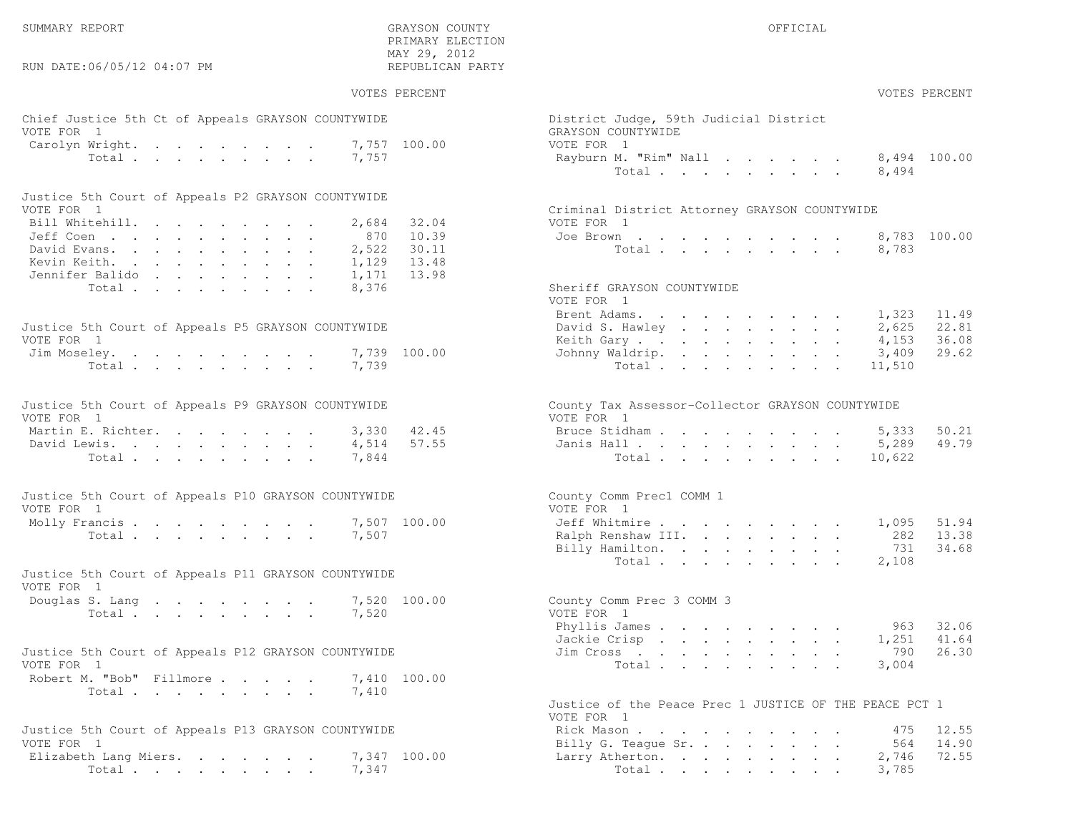RUN DATE:06/05/12 04:07 PM

# SUMMARY REPORT GRAYSON COUNTY OFFICIAL PRIMARY ELECTIONMAY 29, 2012<br>"פני המידים במוסדים במוסד המידים במוסד המידים במוסד המידים במוסד המידים במוסד המידים במוסד המידים במוסד המידים

| Chief Justice 5th Ct of Appeals GRAYSON COUNTYWIDE                | District Judge, 59th Judicial District                                 |
|-------------------------------------------------------------------|------------------------------------------------------------------------|
| VOTE FOR 1                                                        | GRAYSON COUNTYWIDE                                                     |
| Carolyn Wright. 7,757 100.00                                      | VOTE FOR 1                                                             |
| Total<br>7,757                                                    | 8,494 100.00<br>Rayburn M. "Rim" Nall                                  |
|                                                                   | Total $\cdots$<br>8,494                                                |
| Justice 5th Court of Appeals P2 GRAYSON COUNTYWIDE                |                                                                        |
| VOTE FOR 1                                                        | Criminal District Attorney GRAYSON COUNTYWIDE                          |
| Bill Whitehill.<br>32.04<br>2,684                                 | VOTE FOR 1                                                             |
| 10.39<br>Jeff Coen.<br>870                                        | 8,783 100.00<br>Joe Brown                                              |
| David Evans.<br>30.11<br>2,522                                    | Total<br>8,783                                                         |
| Kevin Keith.<br>13.48<br>1,129                                    |                                                                        |
| Jennifer Balido<br>13.98<br>1,171                                 |                                                                        |
| Total<br>8,376                                                    | Sheriff GRAYSON COUNTYWIDE<br>VOTE FOR 1                               |
|                                                                   | 11.49<br>Brent Adams.<br>1,323                                         |
| Justice 5th Court of Appeals P5 GRAYSON COUNTYWIDE                | 22.81<br>David S. Hawley<br>2,625                                      |
|                                                                   | 36.08                                                                  |
| VOTE FOR 1                                                        | Keith Gary.<br>4,153<br>29.62                                          |
| Jim Moseley.<br>7,739 100.00                                      | Johnny Waldrip.<br>3,409                                               |
| Total<br>7,739                                                    | Total<br>11,510                                                        |
|                                                                   |                                                                        |
| Justice 5th Court of Appeals P9 GRAYSON COUNTYWIDE                | County Tax Assessor-Collector GRAYSON COUNTYWIDE                       |
| VOTE FOR 1                                                        | VOTE FOR 1                                                             |
| Martin E. Richter.<br>42.45<br>3,330                              | 50.21<br>Bruce Stidham<br>5,333                                        |
| 57.55<br>David Lewis.<br>4,514                                    | 49.79<br>Janis Hall<br>5,289                                           |
| Total<br>7,844                                                    | Total<br>10,622                                                        |
|                                                                   |                                                                        |
| Justice 5th Court of Appeals P10 GRAYSON COUNTYWIDE<br>VOTE FOR 1 | County Comm Prec1 COMM 1<br>VOTE FOR 1                                 |
|                                                                   | Jeff Whitmire<br>51.94                                                 |
| 7,507 100.00<br>Molly Francis                                     | 1,095                                                                  |
| Total $\cdot$<br>7,507                                            | Ralph Renshaw III.<br>13.38<br>282                                     |
|                                                                   | 34.68<br>Billy Hamilton.<br>731                                        |
|                                                                   | Total<br>2,108                                                         |
| Justice 5th Court of Appeals P11 GRAYSON COUNTYWIDE<br>VOTE FOR 1 |                                                                        |
| Douglas S. Lang<br>7,520 100.00                                   | County Comm Prec 3 COMM 3                                              |
| Total<br>7,520                                                    | VOTE FOR 1                                                             |
|                                                                   | Phyllis James<br>32.06<br>963                                          |
|                                                                   | 41.64<br>Jackie Crisp<br>1,251                                         |
| Justice 5th Court of Appeals P12 GRAYSON COUNTYWIDE               | 26.30<br>Jim Cross $\ldots$ $\ldots$ $\ldots$ $\ldots$ $\ldots$<br>790 |
| VOTE FOR 1                                                        | Total<br>3,004                                                         |
| Robert M. "Bob" Fillmore<br>7,410 100.00                          |                                                                        |
| 7,410                                                             |                                                                        |
| Total                                                             | Justice of the Peace Prec 1 JUSTICE OF THE PEACE PCT 1                 |
|                                                                   |                                                                        |
|                                                                   | VOTE FOR 1                                                             |
| Justice 5th Court of Appeals P13 GRAYSON COUNTYWIDE               | Rick Mason<br>12.55<br>475                                             |
| VOTE FOR 1                                                        | 14.90<br>Billy G. Teague Sr.<br>564                                    |
| Flizzboth Lang Miore (1947-100-00)                                | $2.716$ $72.55$<br>$I \text{array}$ $\lambda + \text{horf}$ on         |

| Elizabeth Lang Miers. 7,347 100.00 |  |  |  |  | Larry Atherton. |  |  |  |  | 2,746 |
|------------------------------------|--|--|--|--|-----------------|--|--|--|--|-------|
| Total 7,347                        |  |  |  |  | Total 3,785     |  |  |  |  |       |

# VOTES PERCENT VOTES PERCENT

|        | District Judge, 59th Judicial District |  |
|--------|----------------------------------------|--|
|        | GRAYSON COUNTYWIDE                     |  |
| 100.00 | VOTE FOR 1                             |  |
|        | Rayburn M. "Rim" Nall 8,494 100.       |  |
|        | Total 8,494                            |  |

| Criminal District Attorney GRAYSON COUNTYWIDE |  |  |  |  |  |        |       |             |
|-----------------------------------------------|--|--|--|--|--|--------|-------|-------------|
| VOTE FOR 1                                    |  |  |  |  |  |        |       |             |
| Joe Brown                                     |  |  |  |  |  |        |       | 8,783 100.0 |
|                                               |  |  |  |  |  | Total. | 8.783 |             |

### Sheriff GRAYSON COUNTYWIDE

| VOTE FOR 1 |  |  |  |  |                                                                                                                                  |
|------------|--|--|--|--|----------------------------------------------------------------------------------------------------------------------------------|
|            |  |  |  |  |                                                                                                                                  |
|            |  |  |  |  |                                                                                                                                  |
|            |  |  |  |  |                                                                                                                                  |
|            |  |  |  |  |                                                                                                                                  |
|            |  |  |  |  |                                                                                                                                  |
|            |  |  |  |  | Brent Adams. 1,323 11.49<br>David S. Hawley 2,625 22.81<br>Keith Gary 4,153 36.08<br>Johnny Waldrip. 3,409 29.62<br>Total 11,510 |

| /uie Fur i |               |  |  |  |  |              |  |
|------------|---------------|--|--|--|--|--------------|--|
|            | Bruce Stidham |  |  |  |  | 5,333 50.21  |  |
|            | Janis Hall    |  |  |  |  | 5,289 49.79  |  |
|            |               |  |  |  |  | Total 10,622 |  |

|        | County Comm Prec1 COMM 1     |  |
|--------|------------------------------|--|
|        | VOTE FOR 1                   |  |
| 100.00 | Jeff Whitmire 1,095 51.94    |  |
|        | Ralph Renshaw III. 282 13.38 |  |
|        | Billy Hamilton. 731 34.68    |  |
|        | Total 2,108                  |  |

| 100.00 | County Comm Prec 3 COMM 3  |  |
|--------|----------------------------|--|
|        | VOTE FOR 1                 |  |
|        | 963 32.06<br>Phyllis James |  |
|        | Jackie Crisp 1,251 41.64   |  |
|        | Jim Cross 790 26.30        |  |
|        | Total 3,004                |  |
|        |                            |  |

| Justice of the Peace Prec 1 JUSTICE OF THE PEACE PCT 1 |
|--------------------------------------------------------|
| VOTE FOR 1                                             |
| 475 12.55<br>Rick Mason                                |
| 564 14.90<br>Billy G. Teaque Sr.                       |
| 2,746 72.55<br>Larry Atherton.                         |
| Total 3,785                                            |
|                                                        |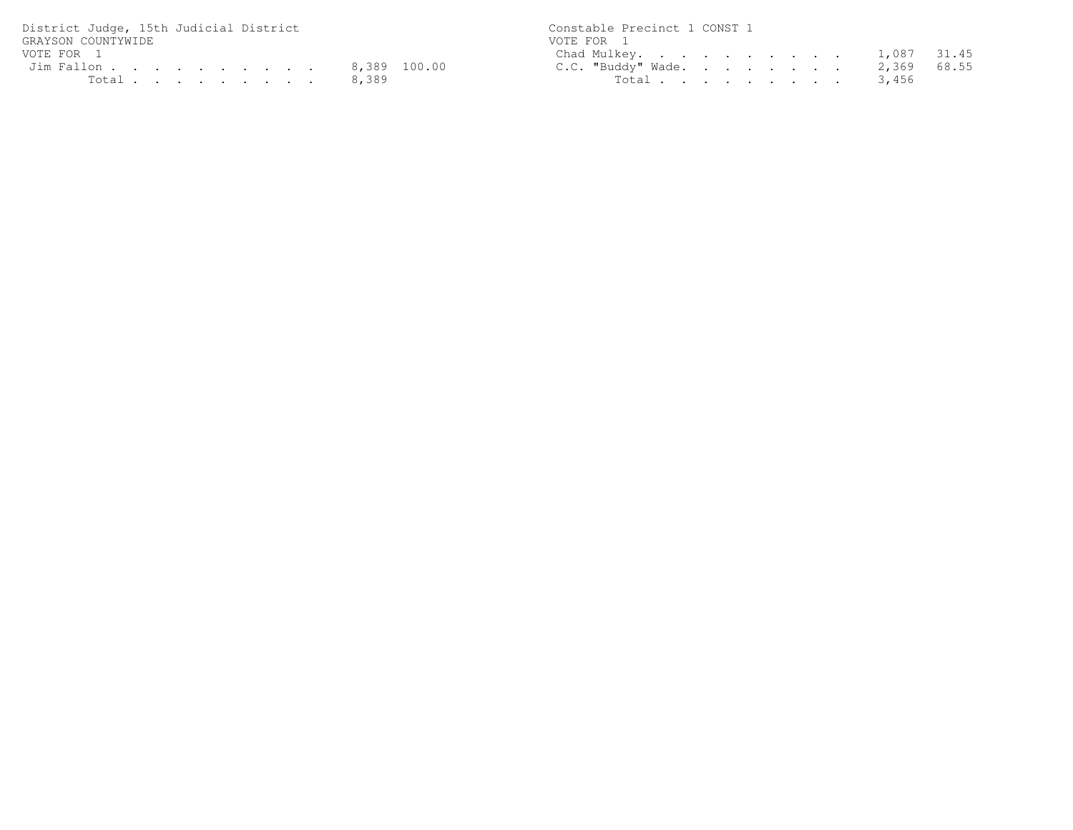| District Judge, 15th Judicial District | Constable Precinct 1 CONST 1   |
|----------------------------------------|--------------------------------|
| GRAYSON COUNTYWIDE                     | VOTE FOR 1                     |
| VOTE FOR 1                             | Chad Mulkey. 1,087 31.45       |
| Jim Fallon 8,389 100.00                | C.C. "Buddy" Wade. 2,369 68.55 |
| Total 8,389                            | Total 3,456                    |

31.45<br>68.55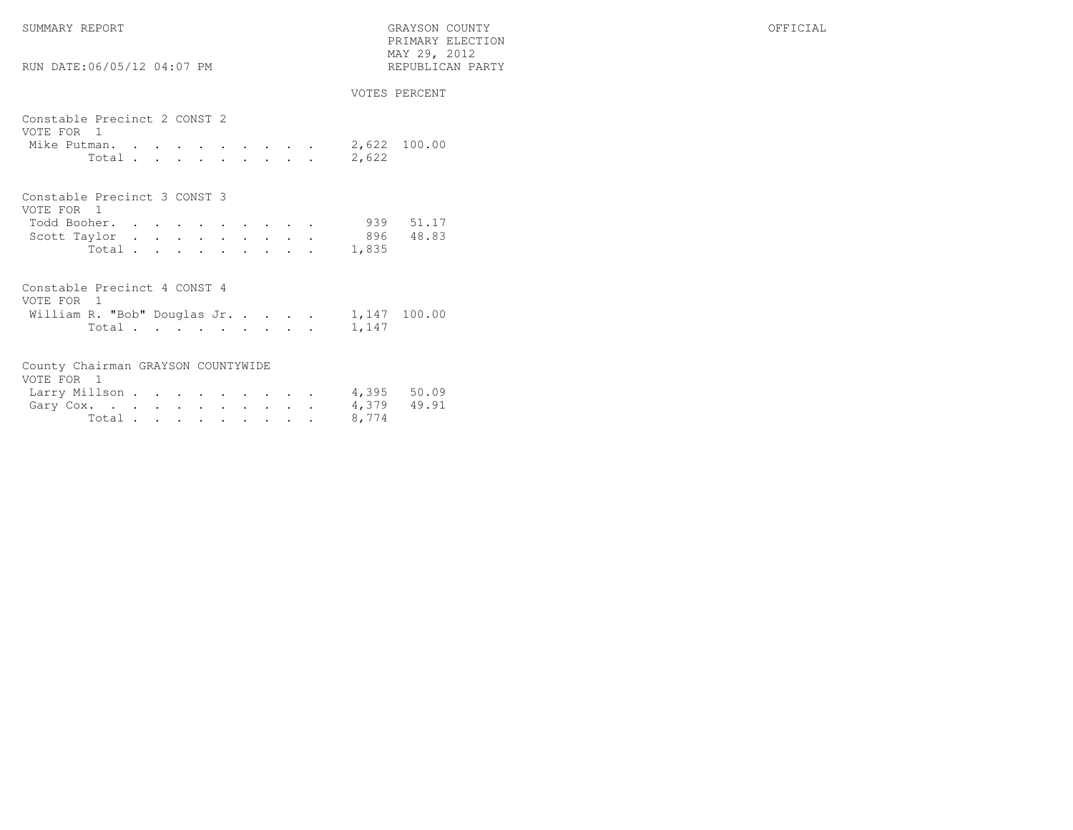SUMMARY REPORT GRAYSON COUNTY OFFICIAL

| RUN DATE:06/05/12 04:07 PM                 |                                                 | PRIMARY ELECTION<br>MAY 29, 2012<br>REPUBLICAN PARTY |  |  |  |                       |
|--------------------------------------------|-------------------------------------------------|------------------------------------------------------|--|--|--|-----------------------|
|                                            |                                                 |                                                      |  |  |  | VOTES PERCENT         |
| Constable Precinct 2 CONST 2<br>VOTE FOR 1 |                                                 |                                                      |  |  |  |                       |
| Mike Putman.<br>Total                      | the contract of the contract of the contract of |                                                      |  |  |  | 2,622 100.00<br>2,622 |
| Constable Precinct 3 CONST 3               |                                                 |                                                      |  |  |  |                       |
| VOTE FOR 1                                 |                                                 |                                                      |  |  |  |                       |
| Todd Booher.                               |                                                 |                                                      |  |  |  | 939 51.17             |
| Scott Taylor                               |                                                 |                                                      |  |  |  | 896 -<br>48.83        |
| Total                                      |                                                 |                                                      |  |  |  | 1,835                 |

| Constable Precinct 4 CONST 4 |  |  |  |  |             |              |
|------------------------------|--|--|--|--|-------------|--------------|
| VOTE FOR 1                   |  |  |  |  |             |              |
| William R. "Bob" Douglas Jr. |  |  |  |  |             | 1,147 100.00 |
|                              |  |  |  |  | Total 1,147 |              |

| County Chairman GRAYSON COUNTYWIDE |  |  |  |  |       |  |
|------------------------------------|--|--|--|--|-------|--|
| VOTE FOR 1                         |  |  |  |  |       |  |
| Larry Millson 4,395 50.09          |  |  |  |  |       |  |
| Gary Cox. 4,379 49.91              |  |  |  |  |       |  |
| Total.                             |  |  |  |  | 8,774 |  |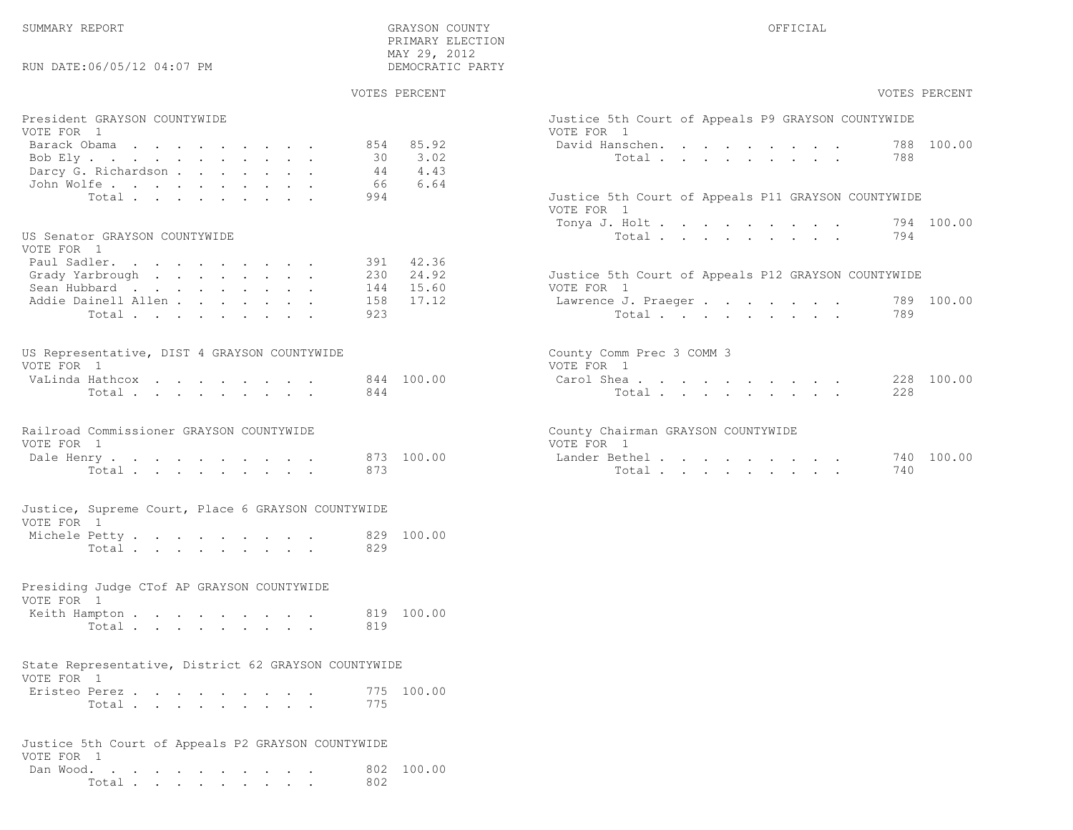RUN DATE:06/05/12 04:07 PM

# GRAYSON COUNTY SUMMARY REPORT OF STRUCK AND SERVICE AND SERVICE AND SERVICE AND SERVICE AND SERVICE AND SERVICE AND SERVICE AND SERVICE AND SERVICE AND SERVICE AND SERVICE AND SERVICE AND SERVICE AND SERVICE AND SERVICE AN PRIMARY ELECTION $\begin{array}{lll} \text{MAX} & 29, & 2012 \\ \text{NAY} & 29, & 2012 \end{array}$

| VOTES PERCENT | VOTES PERCENT |
|---------------|---------------|

| President GRAYSON COUNTYWIDE<br>VOTE FOR 1<br>Barack Obama<br>Bob Ely.<br>Darcy G. Richardson | 854 85.92<br>30 3.02<br>4.43<br>44     | Justice 5th Court of Appeals P9 GRAYSON COUNTYWIDE<br>VOTE FOR 1<br>788 100.00<br>David Hanschen.<br>788<br>Total |
|-----------------------------------------------------------------------------------------------|----------------------------------------|-------------------------------------------------------------------------------------------------------------------|
| John Wolfe.<br>Total.                                                                         | 6.64<br>66<br>994                      | Justice 5th Court of Appeals P11 GRAYSON COUNTYWIDE<br>VOTE FOR 1<br>Tonya J. Holt<br>794 100.00                  |
| US Senator GRAYSON COUNTYWIDE<br>VOTE FOR 1                                                   |                                        | 794<br>Total                                                                                                      |
| Paul Sadler.<br>Grady Yarbrough<br>Sean Hubbard                                               | 391 42.36<br>230 24.92<br>15.60<br>144 | Justice 5th Court of Appeals P12 GRAYSON COUNTYWIDE<br>VOTE FOR 1                                                 |
| Addie Dainell Allen<br>Total                                                                  | 17.12<br>158<br>923                    | 789 100.00<br>Lawrence J. Praeger<br>Total<br>789                                                                 |
| US Representative, DIST 4 GRAYSON COUNTYWIDE<br>VOTE FOR 1                                    |                                        | County Comm Prec 3 COMM 3<br>VOTE FOR 1                                                                           |
| VaLinda Hathcox<br>Total                                                                      | 844 100.00<br>844                      | 228 100.00<br>Carol Shea<br>Total<br>228                                                                          |
| Railroad Commissioner GRAYSON COUNTYWIDE<br>VOTE FOR 1                                        |                                        | County Chairman GRAYSON COUNTYWIDE<br>VOTE FOR 1                                                                  |
| Dale Henry<br>Total                                                                           | 873 100.00<br>873                      | Lander Bethel.<br>740 100.00<br>Total<br>740                                                                      |
| Justice, Supreme Court, Place 6 GRAYSON COUNTYWIDE<br>VOTE FOR 1                              |                                        |                                                                                                                   |
| Michele Petty<br>Total                                                                        | 829 100.00<br>829                      |                                                                                                                   |
| Presiding Judge CTof AP GRAYSON COUNTYWIDE<br>VOTE FOR 1                                      |                                        |                                                                                                                   |
| Keith Hampton<br>Total                                                                        | 819 100.00<br>819                      |                                                                                                                   |
| State Representative, District 62 GRAYSON COUNTYWIDE<br>VOTE FOR 1                            |                                        |                                                                                                                   |
| Eristeo Perez<br>Total.                                                                       | 775 100.00<br>775                      |                                                                                                                   |
| Justice 5th Court of Appeals P2 GRAYSON COUNTYWIDE<br>VOTE FOR 1                              |                                        |                                                                                                                   |
| Dan Wood.<br>Total                                                                            | 802 100.00<br>802                      |                                                                                                                   |

|                                  | Justice 5th Court of Appeals P9 GRAYSON COUNTYWIDE<br>VOTE FOR 1                                             |  |  |  |     |            |
|----------------------------------|--------------------------------------------------------------------------------------------------------------|--|--|--|-----|------------|
| 85.92<br>3.02<br>4.43<br>6.64    | David Hanschen. 788 100.00<br>Total $\qquad$                                                                 |  |  |  | 788 |            |
|                                  | Justice 5th Court of Appeals P11 GRAYSON COUNTYWIDE<br>VOTE FOR 1<br>Tonya J. Holt 794 100.00<br>Total 794   |  |  |  |     |            |
| 42.36<br>24.92<br>15.60<br>17.12 | Justice 5th Court of Appeals P12 GRAYSON COUNTYWIDE<br>VOTE FOR 1<br>Lawrence J. Praeger 789 100.00<br>Total |  |  |  | 789 |            |
| 100.00                           | County Comm Prec 3 COMM 3<br>VOTE FOR 1<br>Carol Shea<br>Total                                               |  |  |  | 228 | 228 100.00 |
| 100.00                           | County Chairman GRAYSON COUNTYWIDE<br>VOTE FOR 1<br>Lander Bethel.<br>Total                                  |  |  |  | 740 | 740 100.00 |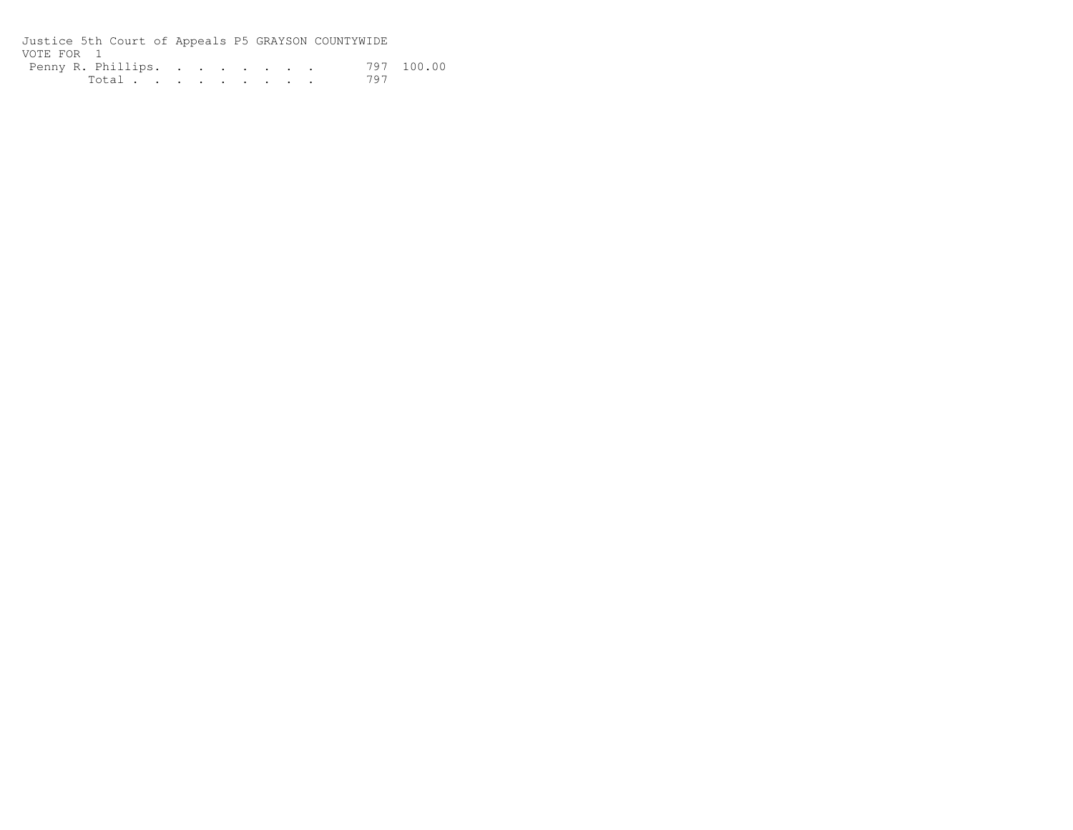Justice 5th Court of Appeals P5 GRAYSON COUNTYWIDEVOTE FOR 1Penny R. Phillips. . . . . . . . 797 100.00 Total . . . . . . . . 797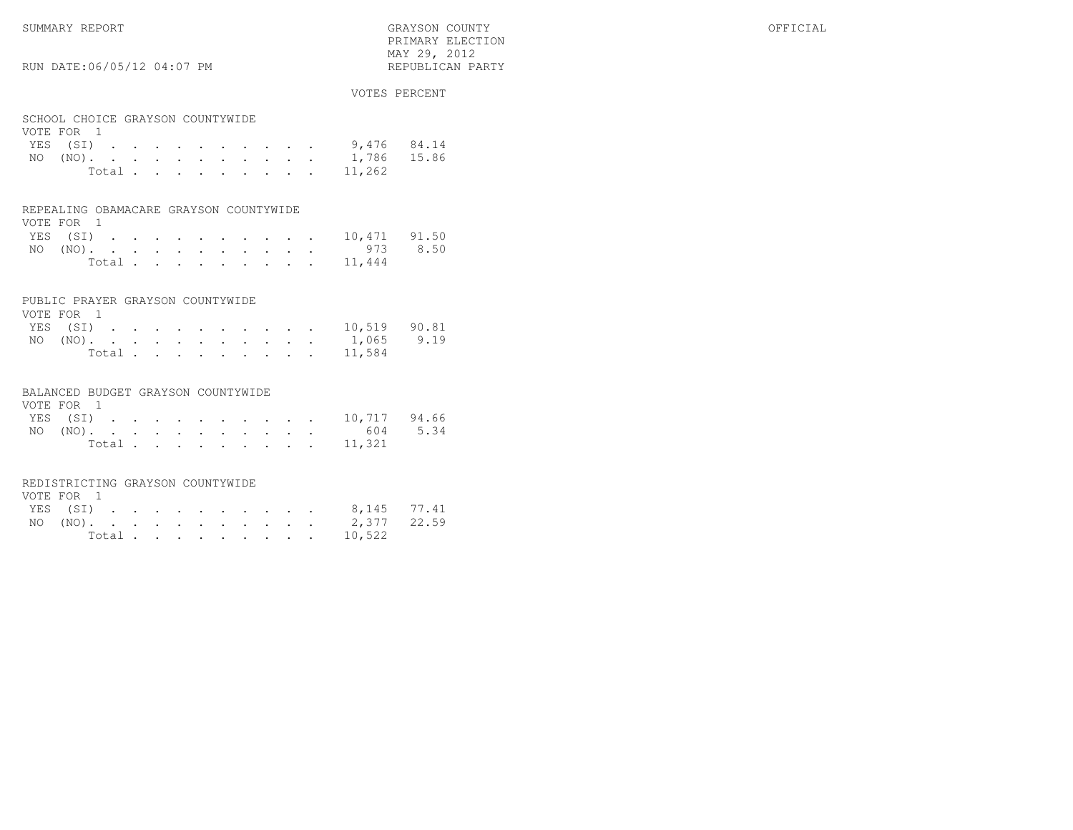SUMMARY REPORT GRAYSON COUNTY OFFICIAL PRIMARY ELECTION MAY 29, 2012REPUBLICAN PARTY

# RUN DATE:06/05/12 04:07 PM

### VOTES PERCENT

|  | VOTE FOR 1 |  |  |  | SCHOOL CHOICE GRAYSON COUNTYWIDE | YES (SI) 9,476 84.14<br>NO (NO). 1,786 15.86<br>Total 11,262 |
|--|------------|--|--|--|----------------------------------|--------------------------------------------------------------|

### REPEALING OBAMACARE GRAYSON COUNTYWIDE $VOPE = POE = 1$

| VOIE FOR I |  |  |  |  |  |                       |  |
|------------|--|--|--|--|--|-----------------------|--|
|            |  |  |  |  |  | YES (SI) 10,471 91.50 |  |
|            |  |  |  |  |  | NO (NO). 973 8.50     |  |
|            |  |  |  |  |  | Total 11,444          |  |

### PUBLIC PRAYER GRAYSON COUNTYWIDE

| VOTE FOR 1 |  |  |  |  |  |                       |  |
|------------|--|--|--|--|--|-----------------------|--|
|            |  |  |  |  |  | YES (SI) 10,519 90.81 |  |
|            |  |  |  |  |  | NO (NO). 1,065 9.19   |  |
|            |  |  |  |  |  | Total 11,584          |  |

### BALANCED BUDGET GRAYSON COUNTYWIDE

| VOTE FOR 1 |  |  |  |  |  |                       |  |
|------------|--|--|--|--|--|-----------------------|--|
|            |  |  |  |  |  | YES (SI) 10,717 94.66 |  |
|            |  |  |  |  |  | NO (NO). 604 5.34     |  |
|            |  |  |  |  |  | Total 11,321          |  |

### REDISTRICTING GRAYSON COUNTYWIDE

| VOTE FOR 1 |  |  |  |  |  |                      |  |
|------------|--|--|--|--|--|----------------------|--|
|            |  |  |  |  |  | YES (SI) 8,145 77.41 |  |
|            |  |  |  |  |  | NO (NO). 2,377 22.59 |  |
|            |  |  |  |  |  | Total 10,522         |  |